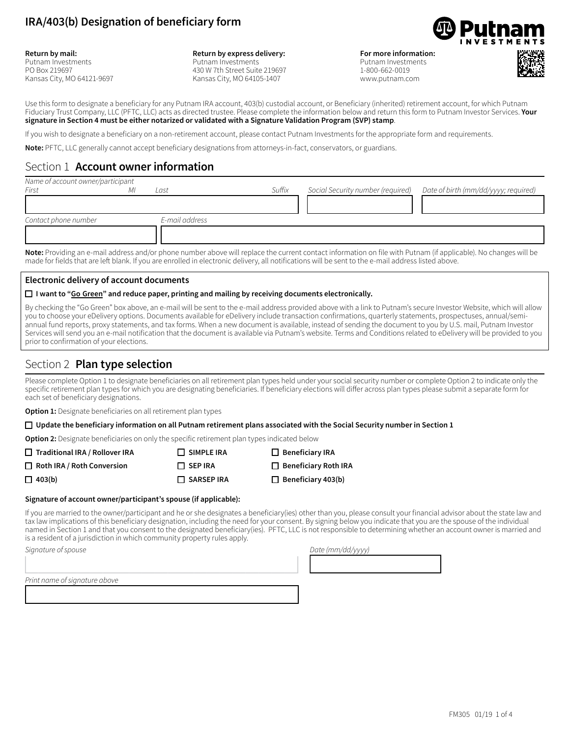

**Return by mail:** Putnam Investments PO Box 219697 Kansas City, MO 64121-9697

#### **Return by express delivery:** Putnam Investments 430 W 7th Street Suite 219697 Kansas City, MO 64105-1407

**For more information:** 

Putnam Investments 1-800-662-0019 www.putnam.com



Use this form to designate a beneficiary for any Putnam IRA account, 403(b) custodial account, or Beneficiary (inherited) retirement account, for which Putnam Fiduciary Trust Company, LLC (PFTC, LLC) acts as directed trustee. Please complete the information below and return this form to Putnam Investor Services. **Your signature in Section 4 must be either notarized or validated with a Signature Validation Program (SVP) stamp**.

If you wish to designate a beneficiary on a non-retirement account, please contact Putnam Investments for the appropriate form and requirements.

**Note:** PFTC, LLC generally cannot accept beneficiary designations from attorneys-in-fact, conservators, or guardians.

### Section 1 **Account owner information**

| Name of account owner/participant                                                                                                                                                                                                  |    |                |        |                                                                                                                                                                                                                                                                                                                                                                                                                                  |                                      |
|------------------------------------------------------------------------------------------------------------------------------------------------------------------------------------------------------------------------------------|----|----------------|--------|----------------------------------------------------------------------------------------------------------------------------------------------------------------------------------------------------------------------------------------------------------------------------------------------------------------------------------------------------------------------------------------------------------------------------------|--------------------------------------|
| First                                                                                                                                                                                                                              | Mi | Last           | Suffix | Social Security number (required)                                                                                                                                                                                                                                                                                                                                                                                                | Date of birth (mm/dd/yyyy; required) |
|                                                                                                                                                                                                                                    |    |                |        |                                                                                                                                                                                                                                                                                                                                                                                                                                  |                                      |
| Contact phone number                                                                                                                                                                                                               |    | E-mail address |        |                                                                                                                                                                                                                                                                                                                                                                                                                                  |                                      |
|                                                                                                                                                                                                                                    |    |                |        |                                                                                                                                                                                                                                                                                                                                                                                                                                  |                                      |
| $\bullet$ . A set of the set of the set of the set of the set of the set of the set of the set of the set of the set of the set of the set of the set of the set of the set of the set of the set of the set of the set of the set |    |                |        | $\mathcal{L}(\mathbf{r}) = \mathbf{r}(\mathbf{r}) = \mathbf{r}(\mathbf{r}) = \mathbf{r}(\mathbf{r}) = \mathbf{r}(\mathbf{r}) = \mathbf{r}(\mathbf{r}) = \mathbf{r}(\mathbf{r}) = \mathbf{r}(\mathbf{r}(\mathbf{r}) = \mathbf{r}(\mathbf{r}(\mathbf{r}(\mathbf{r}))) = \mathbf{r}(\mathbf{r}(\mathbf{r}(\mathbf{r}(\mathbf{r}(\mathbf{r}(\mathbf{r}(\mathbf{r}(\mathbf{r}(\mathbf{r}(\mathbf{r}(\mathbf{r}(\mathbf{r}(\mathbf{r}$ |                                      |

**Note:** Providing an e-mail address and/or phone number above will replace the current contact information on file with Putnam (if applicable). No changes will be made for fields that are left blank. If you are enrolled in electronic delivery, all notifications will be sent to the e-mail address listed above.

#### **Electronic delivery of account documents**

#### □ I want to "Go Green" and reduce paper, printing and mailing by receiving documents electronically.

By checking the "Go Green" box above, an e-mail will be sent to the e-mail address provided above with a link to Putnam's secure Investor Website, which will allow you to choose your eDelivery options. Documents available for eDelivery include transaction confirmations, quarterly statements, prospectuses, annual/semiannual fund reports, proxy statements, and tax forms. When a new document is available, instead of sending the document to you by U.S. mail, Putnam Investor Services will send you an e-mail notification that the document is available via Putnam's website. Terms and Conditions related to eDelivery will be provided to you prior to confirmation of your elections.

# Section 2 **Plan type selection**

Please complete Option 1 to designate beneficiaries on all retirement plan types held under your social security number or complete Option 2 to indicate only the specific retirement plan types for which you are designating beneficiaries. If beneficiary elections will differ across plan types please submit a separate form for each set of beneficiary designations.

**Option 1:** Designate beneficiaries on all retirement plan types

#### $\Box$  Update the beneficiary information on all Putnam retirement plans associated with the Social Security number in Section 1

**Option 2:** Designate beneficiaries on only the specific retirement plan types indicated below

1333333333333333333334

| $\Box$ Traditional IRA / Rollover IRA | $\Box$ SIMPLE IRA | $\Box$ Beneficiary IRA      |
|---------------------------------------|-------------------|-----------------------------|
| $\Box$ Roth IRA / Roth Conversion     | $\Box$ SEP IRA    | $\Box$ Beneficiary Roth IRA |
| $\Box$ 403(b)                         | $\Box$ SARSEP IRA | $\Box$ Beneficiary 403(b)   |

#### **Signature of account owner/participant's spouse (if applicable):**

If you are married to the owner/participant and he or she designates a beneficiary(ies) other than you, please consult your financial advisor about the state law and tax law implications of this beneficiary designation, including the need for your consent. By signing below you indicate that you are the spouse of the individual named in Section 1 and that you consent to the designated beneficiary(ies). PFTC, LLC is not responsible to determining whether an account owner is married and is a resident of a jurisdiction in which community property rules apply.

 $S$ *ignature of spouse* 

1333333333333333333334 13333333334 *Print name of signature above*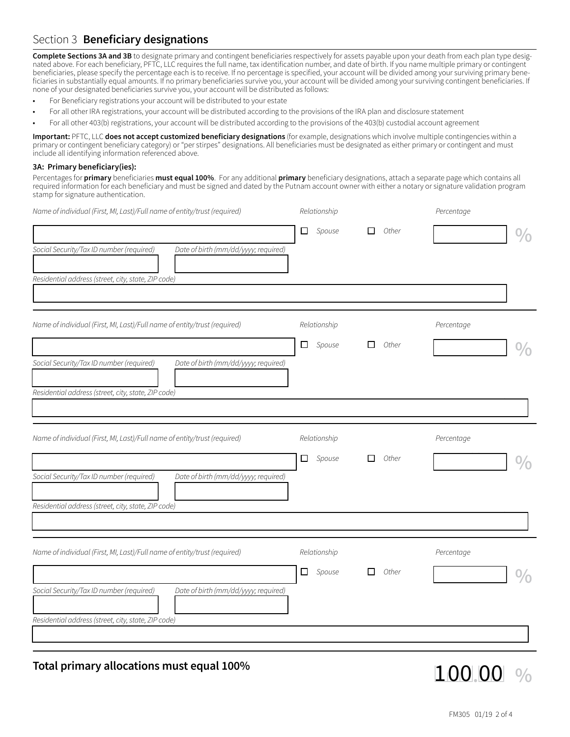**Complete Sections 3A and 3B** to designate primary and contingent beneficiaries respectively for assets payable upon your death from each plan type designated above. For each beneficiary, PFTC, LLC requires the full name, tax identification number, and date of birth. If you name multiple primary or contingent beneficiaries, please specify the percentage each is to receive. If no percentage is specified, your account will be divided among your surviving primary beneficiaries in substantially equal amounts. If no primary beneficiaries survive you, your account will be divided among your surviving contingent beneficiaries. If none of your designated beneficiaries survive you, your account will be distributed as follows:

- For Beneficiary registrations your account will be distributed to your estate
- For all other IRA registrations, your account will be distributed according to the provisions of the IRA plan and disclosure statement
- For all other 403(b) registrations, your account will be distributed according to the provisions of the 403(b) custodial account agreement

**Important:** PFTC, LLC **does not accept customized beneficiary designations** (for example, designations which involve multiple contingencies within a primary or contingent beneficiary category) or "per stirpes" designations. All beneficiaries must be designated as either primary or contingent and must include all identifying information referenced above.

#### **3A: Primary beneficiary(ies):**

Percentages for **primary** beneficiaries **must equal 100%**. For any additional **primary** beneficiary designations, attach a separate page which contains all required information for each beneficiary and must be signed and dated by the Putnam account owner with either a notary or signature validation program stamp for signature authentication.

| Name of individual (First, MI, Last)/Full name of entity/trust (required)        | Relationship  |            | Percentage |  |
|----------------------------------------------------------------------------------|---------------|------------|------------|--|
|                                                                                  | $\Box$ Spouse | Other<br>□ |            |  |
| Social Security/Tax ID number (required)<br>Date of birth (mm/dd/yyyy; required) |               |            |            |  |
| Residential address (street, city, state, ZIP code)                              |               |            |            |  |
| Name of individual (First, MI, Last)/Full name of entity/trust (required)        | Relationship  |            | Percentage |  |
|                                                                                  | $\Box$ Spouse | Other<br>□ |            |  |
| Social Security/Tax ID number (required)<br>Date of birth (mm/dd/yyyy; required) |               |            |            |  |
| Residential address (street, city, state, ZIP code)                              |               |            |            |  |
| Name of individual (First, MI, Last)/Full name of entity/trust (required)        | Relationship  |            | Percentage |  |
|                                                                                  | $\Box$ Spouse | Other<br>п |            |  |
| Social Security/Tax ID number (required)<br>Date of birth (mm/dd/yyyy; required) |               |            |            |  |
| Residential address (street, city, state, ZIP code)                              |               |            |            |  |
| Name of individual (First, MI, Last)/Full name of entity/trust (required)        | Relationship  |            | Percentage |  |
|                                                                                  | $\Box$ Spouse | Other<br>П |            |  |
| Social Security/Tax ID number (required)<br>Date of birth (mm/dd/yyyy; required) |               |            |            |  |
| Residential address (street, city, state, ZIP code)                              |               |            |            |  |
|                                                                                  |               |            |            |  |

**Total primary allocations must equal 100%**

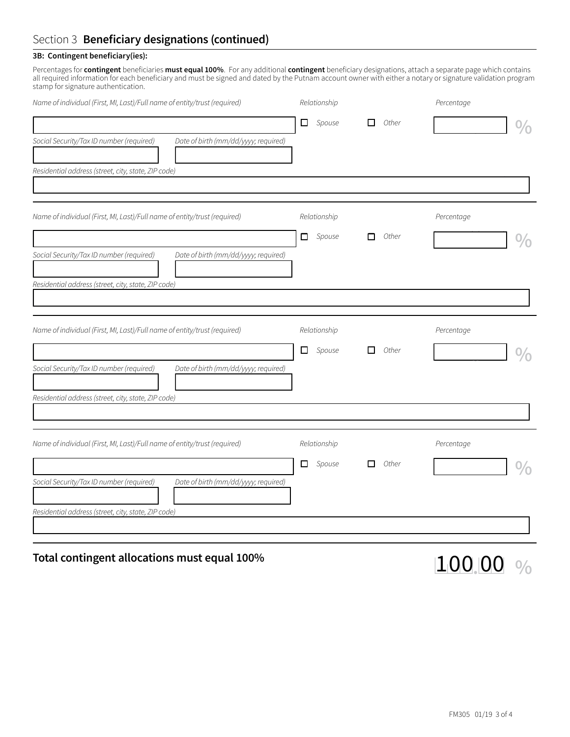# Section 3 **Beneficiary designations (continued)**

### **3B: Contingent beneficiary(ies):**

Percentages for **contingent** beneficiaries **must equal 100%**. For any additional **contingent** beneficiary designations, attach a separate page which contains all required information for each beneficiary and must be signed and dated by the Putnam account owner with either a notary or signature validation program stamp for signature authentication.

| Name of individual (First, MI, Last)/Full name of entity/trust (required)<br>Social Security/Tax ID number (required)<br>Date of birth (mm/dd/yyyy; required)                                                        | Relationship<br>$\Box$ Spouse | п<br>Other | Percentage |
|----------------------------------------------------------------------------------------------------------------------------------------------------------------------------------------------------------------------|-------------------------------|------------|------------|
| Residential address (street, city, state, ZIP code)                                                                                                                                                                  |                               |            |            |
| Name of individual (First, MI, Last)/Full name of entity/trust (required)<br>Social Security/Tax ID number (required)<br>Date of birth (mm/dd/yyyy; required)                                                        | Relationship<br>$\Box$ Spouse | Other<br>п | Percentage |
| Residential address (street, city, state, ZIP code)<br>Name of individual (First, MI, Last)/Full name of entity/trust (required)<br>Social Security/Tax ID number (required)<br>Date of birth (mm/dd/yyyy; required) | Relationship<br>$\Box$ Spouse | Other<br>□ | Percentage |
| Residential address (street, city, state, ZIP code)<br>Name of individual (First, MI, Last)/Full name of entity/trust (required)                                                                                     | Relationship                  |            | Percentage |
| Social Security/Tax ID number (required)<br>Date of birth (mm/dd/yyyy; required)<br>Residential address (street, city, state, ZIP code)                                                                              | $\Box$ Spouse                 | Other<br>П |            |

### **Total contingent allocations must equal 100%**

100 00 %